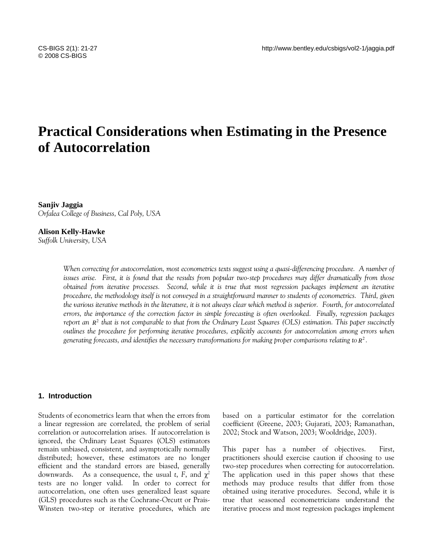# **Practical Considerations when Estimating in the Presence of Autocorrelation**

**Sanjiv Jaggia**  *Orfalea College of Business, Cal Poly, USA* 

# **Alison Kelly-Hawke**

*Suffolk University, USA* 

*When correcting for autocorrelation, most econometrics texts suggest using a quasi-differencing procedure. A number of issues arise. First, it is found that the results from popular two-step procedures may differ dramatically from those obtained from iterative processes. Second, while it is true that most regression packages implement an iterative procedure, the methodology itself is not conveyed in a straightforward manner to students of econometrics. Third, given the various iterative methods in the literature, it is not always clear which method is superior. Fourth, for autocorrelated errors, the importance of the correction factor in simple forecasting is often overlooked. Finally, regression packages report an*  $R^2$  *that is not comparable to that from the Ordinary Least Squares (OLS) estimation. This paper succinctly outlines the procedure for performing iterative procedures, explicitly accounts for autocorrelation among errors when generating forecasts, and identifies the necessary transformations for making proper comparisons relating to* <sup>2</sup> *R .*

# **1. Introduction**

Students of econometrics learn that when the errors from a linear regression are correlated, the problem of serial correlation or autocorrelation arises. If autocorrelation is ignored, the Ordinary Least Squares (OLS) estimators remain unbiased, consistent, and asymptotically normally distributed; however, these estimators are no longer efficient and the standard errors are biased, generally downwards. As a consequence, the usual  $t$ ,  $F$ , and  $\chi^2$ tests are no longer valid. In order to correct for autocorrelation, one often uses generalized least square (GLS) procedures such as the Cochrane-Orcutt or Prais-Winsten two-step or iterative procedures, which are based on a particular estimator for the correlation coefficient (Greene, 2003; Gujarati, 2003; Ramanathan, 2002; Stock and Watson, 2003; Wooldridge, 2003).

This paper has a number of objectives. First, practitioners should exercise caution if choosing to use two-step procedures when correcting for autocorrelation. The application used in this paper shows that these methods may produce results that differ from those obtained using iterative procedures. Second, while it is true that seasoned econometricians understand the iterative process and most regression packages implement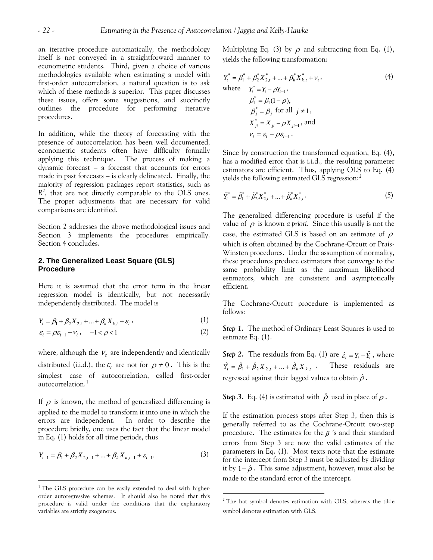an iterative procedure automatically, the methodology itself is not conveyed in a straightforward manner to econometric students. Third, given a choice of various methodologies available when estimating a model with first-order autocorrelation, a natural question is to ask which of these methods is superior. This paper discusses these issues, offers some suggestions, and succinctly outlines the procedure for performing iterative procedures.

In addition, while the theory of forecasting with the presence of autocorrelation has been well documented, econometric students often have difficulty formally applying this technique. The process of making a dynamic forecast – a forecast that accounts for errors made in past forecasts – is clearly delineated. Finally, the majority of regression packages report statistics, such as  $R<sup>2</sup>$ , that are not directly comparable to the OLS ones. The proper adjustments that are necessary for valid comparisons are identified.

Section 2 addresses the above methodological issues and Section 3 implements the procedures empirically. Section 4 concludes.

# **2. The Generalized Least Square (GLS) Procedure**

Here it is assumed that the error term in the linear regression model is identically, but not necessarily independently distributed. The model is

$$
Y_{t} = \beta_{1} + \beta_{2} X_{2,t} + ... + \beta_{k} X_{k,t} + \varepsilon_{t},
$$
\n(1)

$$
\varepsilon_t = \rho \varepsilon_{t-1} + \nu_t, \quad -1 < \rho < 1 \tag{2}
$$

where, although the  $V_t$  are independently and identically distributed (i.i.d.), the  $\varepsilon_t$  are not for  $\rho \neq 0$ . This is the simplest case of autocorrelation, called first-order autocorrelation.<sup>[1](#page-1-0)</sup>

If  $\rho$  is known, the method of generalized differencing is applied to the model to transform it into one in which the errors are independent. In order to describe the procedure briefly, one uses the fact that the linear model in Eq. (1) holds for all time periods, thus

$$
Y_{t-1} = \beta_1 + \beta_2 X_{2,t-1} + \dots + \beta_k X_{k,t-1} + \varepsilon_{t-1}.
$$
 (3)

 $\overline{a}$ 

Multiplying Eq. (3) by  $\rho$  and subtracting from Eq. (1), yields the following transformation:

$$
Y_t^* = \beta_1^* + \beta_2^* X_{2,t}^* + ... + \beta_k^* X_{k,t}^* + \nu_t,
$$
  
\nwhere  $Y_t^* = Y_t - \rho Y_{t-1},$   
\n $\beta_1^* = \beta_1 (1 - \rho),$   
\n $\beta_j^* = \beta_j \text{ for all } j \neq 1,$   
\n $X_{jt}^* = X_{jt} - \rho X_{jt-1},$  and  
\n $\nu_t = \varepsilon_t - \rho \varepsilon_{t-1}.$  (4)

Since by construction the transformed equation, Eq. (4), has a modified error that is i.i.d., the resulting parameter estimators are efficient. Thus, applying OLS to Eq. (4) yields the following estimated GLS regression:<sup>[2](#page-1-1)</sup>

$$
\tilde{Y}_t^* = \tilde{\beta}_1^* + \tilde{\beta}_2^* X_{2,t}^* + \dots + \tilde{\beta}_k^* X_{k,t}^* \tag{5}
$$

The generalized differencing procedure is useful if the value of  $\rho$  is known *a priori*. Since this usually is not the case, the estimated GLS is based on an estimate of  $\rho$ which is often obtained by the Cochrane-Orcutt or Prais-Winsten procedures. Under the assumption of normality, these procedures produce estimators that converge to the same probability limit as the maximum likelihood estimators, which are consistent and asymptotically efficient.

The Cochrane-Orcutt procedure is implemented as follows:

**Step 1.** The method of Ordinary Least Squares is used to estimate Eq. (1).

*Step 2.* The residuals from Eq. (1) are  $\hat{\varepsilon}_t = Y_t - \hat{Y}_t$ , where regressed against their lagged values to obtain  $\hat{\rho}$  .  $\hat{Y}_t = \hat{\beta}_1 + \hat{\beta}_2 X_{2,t} + ... + \hat{\beta}_k X_{k,t}$ . These residuals are

**Step 3.** Eq. (4) is estimated with  $\hat{\rho}$  used in place of  $\rho$ .

If the estimation process stops after Step 3, then this is generally referred to as the Cochrane-Orcutt two-step procedure. The estimates for the  $\beta$  's and their standard errors from Step 3 are now the valid estimates of the parameters in Eq. (1). Most texts note that the estimate for the intercept from Step 3 must be adjusted by dividing it by  $1-\hat{\rho}$ . This same adjustment, however, must also be made to the standard error of the intercept.

 $\overline{a}$ 

<span id="page-1-1"></span><span id="page-1-0"></span><sup>&</sup>lt;sup>1</sup> The GLS procedure can be easily extended to deal with higherorder autoregressive schemes. It should also be noted that this procedure is valid under the conditions that the explanatory variables are strictly exogenous.

<sup>&</sup>lt;sup>2</sup> The hat symbol denotes estimation with OLS, whereas the tilde symbol denotes estimation with GLS.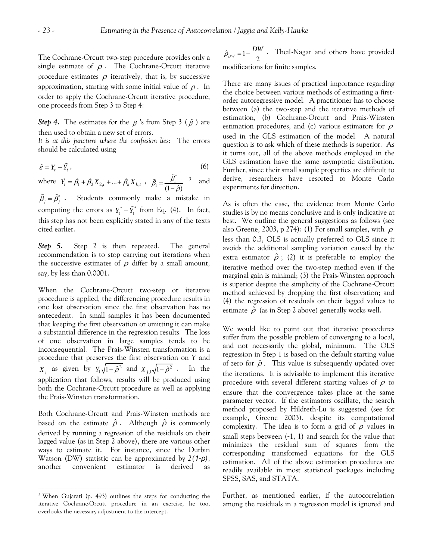The Cochrane-Orcutt two-step procedure provides only a single estimate of  $\rho$ . The Cochrane-Orcutt iterative procedure estimates  $\rho$  iteratively, that is, by successive approximation, starting with some initial value of  $\rho$ . In order to apply the Cochrane-Orcutt iterative procedure, one proceeds from Step 3 to Step 4:

**Step 4.** The estimates for the  $\beta$  's from Step 3 ( $\tilde{\beta}$ ) are then used to obtain a new set of errors.

*It is at this juncture where the confusion lies*: The errors should be calculated using

$$
\tilde{\varepsilon} = Y_t - \tilde{Y}_t, \tag{6}
$$

where  $\tilde{Y}_t = \tilde{\beta}_1 + \tilde{\beta}_2 X_{2,t} + ... + \tilde{\beta}_k X_{k,t}$ ,  $\tilde{\beta}_1 = \frac{\tilde{\beta}_1^*}{(1-\hat{\rho})}$  $\tilde{B}_1 = \frac{\tilde{B}_1^*}{2}$  and

 $\tilde{\beta}_j = \tilde{\beta}_j^*$  . Students commonly make a mistake in computing the errors as  $Y_t^* - \tilde{Y}_t^*$  from Eq. (4). In fact, [this step has not been explicitly stated in any of the texts](#page-2-0)  [cited earlier.](#page-2-0) 

**Step 5.** Step 2 is then repeated. The general recommendation is to stop carrying out iterations when the successive estimates of  $\rho$  differ by a small amount, say, by less than 0.0001.

When the Cochrane-Orcutt two-step or iterative procedure is applied, the differencing procedure results in one lost observation since the first observation has no antecedent. In small samples it has been documented that keeping the first observation or omitting it can make a substantial difference in the regression results. The loss of one observation in large samples tends to be inconsequential. The Prais-Winsten transformation is a procedure that preserves the first observation on *Y* and  $X_j$  as given by  $Y_1 \sqrt{1-\hat{\rho}^2}$  and  $X_{j,1} \sqrt{1-\hat{\rho}^2}$ . In the application that follows, results will be produced using both the Cochrane-Orcutt procedure as well as applying the Prais-Winsten transformation.

Both Cochrane-Orcutt and Prais-Winsten methods are based on the estimate  $\hat{\rho}$ . Although  $\hat{\rho}$  is commonly derived by running a regression of the residuals on their lagged value (as in Step 2 above), there are various other ways to estimate it. For instance, since the Durbin Watson (DW) statistic can be approximated by *2(1-ρ)*, another convenient estimator is derived as

 $\overline{a}$ 

 $\hat{O}_{DW} = 1 - \frac{DV}{2}$  $\hat{\rho}_{\text{pw}} = 1 - \frac{DW}{2}$ . Theil-Nagar and others have provided modifications for finite samples.

There are many issues of practical importance regarding the choice between various methods of estimating a firstorder autoregressive model. A practitioner has to choose between (a) the two-step and the iterative methods of estimation, (b) Cochrane-Orcutt and Prais-Winsten estimation procedures, and (c) various estimators for  $\rho$ used in the GLS estimation of the model. A natural question is to ask which of these methods is superior. As it turns out, all of the above methods employed in the GLS estimation have the same asymptotic distribution. Further, since their small sample properties are difficult to derive, researchers have resorted to Monte Carlo experiments for direction.

As is often the case, the evidence from Monte Carlo studies is by no means conclusive and is only indicative at best. We outline the general suggestions as follows (see also Greene, 2003, p.274): (1) For small samples, with  $\rho$ less than 0.3, OLS is actually preferred to GLS since it avoids the additional sampling variation caused by the extra estimator  $\hat{\rho}$ ; (2) it is preferable to employ the iterative method over the two-step method even if the marginal gain is minimal; (3) the Prais-Winsten approach is superior despite the simplicity of the Cochrane-Orcutt method achieved by dropping the first observation; and (4) the regression of residuals on their lagged values to estimate  $\hat{\rho}$  (as in Step 2 above) generally works well.

We would like to point out that iterative procedures suffer from the possible problem of converging to a local, and not necessarily the global, minimum. The OLS regression in Step 1 is based on the default starting value of zero for  $\hat{\rho}$ . This value is subsequently updated over the iterations. It is advisable to implement this iterative procedure with several different starting values of  $\rho$  to ensure that the convergence takes place at the same parameter vector. If the estimators oscillate, the search method proposed by Hildreth-Lu is suggested (see for example, Greene 2003), despite its computational complexity. The idea is to form a grid of  $\rho$  values in small steps between (-1, 1) and search for the value that minimizes the residual sum of squares from the corresponding transformed equations for the GLS estimation. All of the above estimation procedures are readily available in most statistical packages including SPSS, SAS, and STATA.

Further, as mentioned earlier, if the autocorrelation among the residuals in a regression model is ignored and

<span id="page-2-0"></span><sup>3</sup> When Gujarati (p. 493) outlines the steps for conducting the iterative Cochrane-Orcutt procedure in an exercise, he too, overlooks the necessary adjustment to the intercept.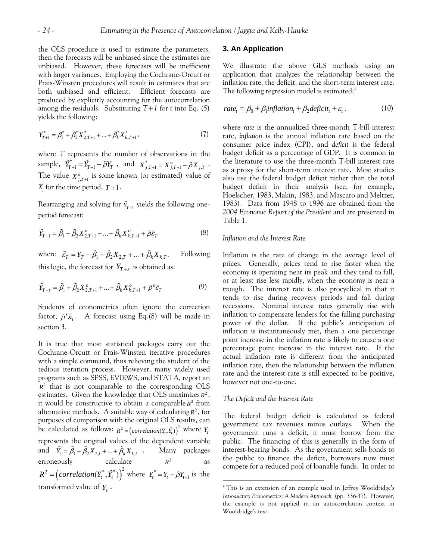the OLS procedure is used to estimate the parameters, then the forecasts will be unbiased since the estimates are unbiased. However, these forecasts will be inefficient with larger variances. Employing the Cochrane-Orcutt or Prais-Winsten procedures will result in estimates that are both unbiased and efficient. Efficient forecasts are produced by explicitly accounting for the autocorrelation among the residuals. Substituting *T+1* for *t* into Eq. (5) yields the following:

$$
\tilde{Y}_{T+1}^* = \beta_1^* + \tilde{\beta}_2^* X_{2,T+1}^* + \dots + \tilde{\beta}_k^* X_{k,T+1}^*,
$$
\n(7)

 $\tanh P$ ,  $\tilde{Y}_{T+1}^* = \tilde{Y}_{T+1} - \tilde{\rho} Y_T$ , and  $X_{j,T+1}^* = X_{j,T+1}^o - \tilde{\rho} X_{j,T}$ . where *T* represents the number of observations in the The value  $X_{j,T+1}^o$  is some known (or estimated) value of  $X_j$  for the time period,  $T+1$ .

Rearranging and solving for  $\tilde{Y}_{T+1}$  yields the following oneperiod forecast:

$$
\tilde{Y}_{T+1} = \tilde{\beta}_1 + \tilde{\beta}_2 X_{2,T+1}^o + \dots + \tilde{\beta}_k X_{k,T+1}^o + \tilde{\rho} \tilde{\varepsilon}_T
$$
\n(8)

where  $\tilde{\varepsilon}_T = Y_T - \tilde{\beta}_1 - \tilde{\beta}_2 X_{2,T} + ... + \tilde{\beta}_k X_{k,T}$ . Following this logic, the forecast for  $Y_{T+s}$  is obtained as:

$$
\tilde{Y}_{T+s} = \tilde{\beta}_1 + \tilde{\beta}_2 X_{2,T+1}^o + ... + \tilde{\beta}_k X_{k,T+1}^o + \tilde{\rho}^s \tilde{\varepsilon}_T
$$
\n(9)

Students of econometrics often ignore the correction factor,  $\tilde{\rho}^s \tilde{\varepsilon}_T$ . A forecast using Eq.(8) will be made in section 3.

<span id="page-3-0"></span>It is true that most statistical packages carry out the Cochrane-Orcutt or Prais-Winsten iterative procedures with a simple command, thus relieving the student of the tedious iteration process. However, many widely used programs such as SPSS, EVIEWS, and STATA, report an  $R<sup>2</sup>$  that is not comparable to the corresponding OLS estimates. Given the knowledge that OLS maximizes  $R^2$ , it would be constructive to obtain a comparable  $R^2$  from alternative methods. A suitable way of calculating  $R^2$ , for purposes of comparison with the original OLS results, can be calculated as follows:  $R^2 = (correlation(Y_t, \tilde{Y}_t))^2$  where  $Y_t$ represents the original values of the dependent variable and  $\tilde{Y}_t = \tilde{\beta}_1 + \tilde{\beta}_2 X_{2,t} + ... + \tilde{\beta}_k X_{k,t}$  . Many packages erroneously calculate  $R^2$  as  $R^2 = \left( correlation(Y_t^*, \tilde{Y}_t^*) \right)^2$  where  $Y_t^* = Y_t - \hat{\rho} Y_{t-1}$  is the transformed value of  $Y_t$ .

#### **3. An Application**

We illustrate the above GLS methods using an application that analyzes the relationship between the inflation rate, the deficit, and the short-term interest rate. The following regression model is estimated:<sup>[4](#page-3-0)</sup>

$$
rate_t = \beta_0 + \beta_1 inflation_t + \beta_2deficit_t + \varepsilon_t,
$$
\n(10)

where *rate* is the annualized three-month T-bill interest rate, *inflation* is the annual inflation rate based on the consumer price index (CPI), and *deficit* is the federal budget deficit as a percentage of GDP. It is common in the literature to use the three-month T-bill interest rate as a proxy for the short-term interest rate. Most studies also use the federal budget deficit rather than the total budget deficit in their analysis (see, for example, Hoelscher, 1983, Makin, 1983, and Mascaro and Meltzer, 1983). Data from 1948 to 1996 are obtained from the *2004 Economic Report of the President* and are presented in Table 1.

#### *Inflation and the Interest Rate*

Inflation is the rate of change in the average level of prices. Generally, prices tend to rise faster when the economy is operating near its peak and they tend to fall, or at least rise less rapidly, when the economy is near a trough. The interest rate is also procyclical in that it tends to rise during recovery periods and fall during recessions. Nominal interest rates generally rise with inflation to compensate lenders for the falling purchasing power of the dollar. If the public's anticipation of inflation is instantaneously met, then a one percentage point increase in the inflation rate is likely to cause a one percentage point increase in the interest rate. If the actual inflation rate is different from the anticipated inflation rate, then the relationship between the inflation rate and the interest rate is still expected to be positive, however not one-to-one.

### *The Deficit and the Interest Rate*

 $\overline{a}$ 

The federal budget deficit is calculated as federal government tax revenues minus outlays. When the government runs a deficit, it must borrow from the public. The financing of this is generally in the form of interest-bearing bonds. As the government sells bonds to the public to finance the deficit, borrowers now must compete for a reduced pool of loanable funds. In order to

<sup>4</sup> This is an extension of an example used in Jeffrey Wooldridge's *Introductory Econometrics: A Modern Approach* (pp. 336-37). However, the example is not applied in an autocorrelation context in Wooldridge's text.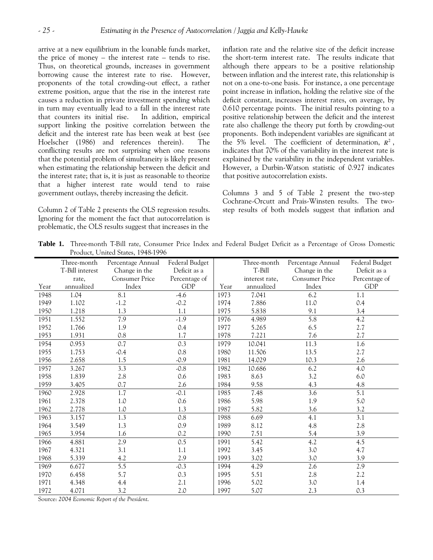arrive at a new equilibrium in the loanable funds market, the price of money – the interest rate – tends to rise. Thus, on theoretical grounds, increases in government borrowing cause the interest rate to rise. However, proponents of the total crowding-out effect, a rather extreme position, argue that the rise in the interest rate causes a reduction in private investment spending which in turn may eventually lead to a fall in the interest rate that counters its initial rise. In addition, empirical support linking the positive correlation between the deficit and the interest rate has been weak at best (see Hoelscher (1986) and references therein). The conflicting results are not surprising when one reasons that the potential problem of simultaneity is likely present when estimating the relationship between the deficit and the interest rate; that is, it is just as reasonable to theorize that a higher interest rate would tend to raise government outlays, thereby increasing the deficit. Columns 3 and 5 of Table 2 present the two-step

Column 2 of Table 2 presents the OLS regression results. step results of both models suggest that inflation and Ignoring for the moment the fact that autocorrelation is problematic, the OLS results suggest that increases in the

inflation rate and the relative size of the deficit increase the short-term interest rate. The results indicate that although there appears to be a positive relationship between inflation and the interest rate, this relationship is not on a one-to-one basis. For instance, a one percentage point increase in inflation, holding the relative size of the deficit constant, increases interest rates, on average, by 0.610 percentage points. The initial results pointing to a positive relationship between the deficit and the interest rate also challenge the theory put forth by crowding-out proponents. Both independent variables are significant at the 5% level. The coefficient of determination,  $R^2$ , indicates that 70% of the variability in the interest rate is explained by the variability in the independent variables. However, a Durbin-Watson statistic of 0.927 indicates that positive autocorrelation exists.

Cochrane-Orcutt and Prais-Winsten results. The two-

**Table 1.** Three-month T-Bill rate, Consumer Price Index and Federal Budget Deficit as a Percentage of Gross Domestic Product, United States, 1948-1996

|      | Three-month     | Percentage Annual     | Federal Budget |      | Three-month    | Percentage Annual     | Federal Budget |
|------|-----------------|-----------------------|----------------|------|----------------|-----------------------|----------------|
|      | T-Bill interest | Change in the         | Deficit as a   |      | T-Bill         | Change in the         | Deficit as a   |
|      | rate,           | <b>Consumer Price</b> | Percentage of  |      | interest rate, | <b>Consumer Price</b> | Percentage of  |
| Year | annualized      | Index                 | <b>GDP</b>     | Year | annualized     | Index                 | <b>GDP</b>     |
| 1948 | 1.04            | 8.1                   | $-4.6$         | 1973 | 7.041          | 6.2                   | 1.1            |
| 1949 | 1.102           | $-1.2$                | $-0.2$         | 1974 | 7.886          | 11.0                  | 0.4            |
| 1950 | 1.218           | 1.3                   | $1.1\,$        | 1975 | 5.838          | 9.1                   | 3.4            |
| 1951 | 1.552           | 7.9                   | $-1.9$         | 1976 | 4.989          | 5.8                   | 4.2            |
| 1952 | 1.766           | 1.9                   | 0.4            | 1977 | 5.265          | 6.5                   | 2.7            |
| 1953 | 1.931           | 0.8                   | 1.7            | 1978 | 7.221          | 7.6                   | 2.7            |
| 1954 | 0.953           | 0.7                   | 0.3            | 1979 | 10.041         | 11.3                  | 1.6            |
| 1955 | 1.753           | $-0.4$                | $0.8\,$        | 1980 | 11.506         | 13.5                  | 2.7            |
| 1956 | 2.658           | 1.5                   | $-0.9$         | 1981 | 14.029         | 10.3                  | 2.6            |
| 1957 | 3.267           | 3.3                   | $-0.8$         | 1982 | 10.686         | 6.2                   | 4.0            |
| 1958 | 1.839           | 2.8                   | 0.6            | 1983 | 8.63           | 3.2                   | $6.0$          |
| 1959 | 3.405           | 0.7                   | 2.6            | 1984 | 9.58           | 4.3                   | 4.8            |
| 1960 | 2.928           | 1.7                   | $-0.1$         | 1985 | 7.48           | 3.6                   | 5.1            |
| 1961 | 2.378           | 1.0                   | 0.6            | 1986 | 5.98           | 1.9                   | 5.0            |
| 1962 | 2.778           | 1.0                   | 1.3            | 1987 | 5.82           | 3.6                   | 3.2            |
| 1963 | 3.157           | 1.3                   | 0.8            | 1988 | 6.69           | 4.1                   | 3.1            |
| 1964 | 3.549           | $1.3$                 | 0.9            | 1989 | 8.12           | 4.8                   | 2.8            |
| 1965 | 3.954           | 1.6                   | 0.2            | 1990 | 7.51           | 5.4                   | 3.9            |
| 1966 | 4.881           | 2.9                   | 0.5            | 1991 | 5.42           | 4.2                   | 4.5            |
| 1967 | 4.321           | 3.1                   | 1.1            | 1992 | 3.45           | 3.0                   | 4.7            |
| 1968 | 5.339           | 4.2                   | 2.9            | 1993 | 3.02           | 3.0                   | 3.9            |
| 1969 | 6.677           | 5.5                   | $-0.3$         | 1994 | 4.29           | 2.6                   | 2.9            |
| 1970 | 6.458           | 5.7                   | 0.3            | 1995 | 5.51           | 2.8                   | 2.2            |
| 1971 | 4.348           | 4.4                   | 2.1            | 1996 | 5.02           | 3.0                   | 1.4            |
| 1972 | 4.071           | 3.2                   | 2.0            | 1997 | 5.07           | 2.3                   | 0.3            |

Source: *2004 Economic Report of the President*.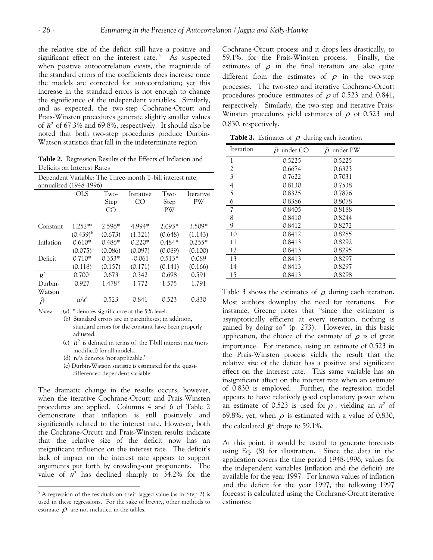Prais-Winsten procedures generate slightly smaller values the relative size of the deficit still have a positive and significant effect on the interest rate.<sup>[5](#page-5-0)</sup> As suspected when positive autocorrelation exists, the magnitude of the standard errors of the coefficients does increase once the models are corrected for autocorrelation; yet this increase in the standard errors is not enough to change the significance of the independent variables. Similarly, and as expected, the two-step Cochrane-Orcutt and of  $R^2$  of 67.3% and 69.8%, respectively. It should also be noted that both two-step procedures produce Durbin-Watson statistics that fall in the indeterminate region.

**Table 2.** Regression Results of the Effects of Inflation and Deficits on Interest Rates

| Dependent Variable: The Three-month T-bill interest rate, |                  |                 |           |          |           |  |  |
|-----------------------------------------------------------|------------------|-----------------|-----------|----------|-----------|--|--|
| annualized (1948-1996)                                    |                  |                 |           |          |           |  |  |
|                                                           | OLS              | Two-            | Iterative | Two-     | Iterative |  |  |
|                                                           |                  | Step            | $\alpha$  | Step     | РW        |  |  |
|                                                           |                  | M               |           | PW       |           |  |  |
|                                                           |                  |                 |           |          |           |  |  |
| Constant                                                  | $1.252**$        | 2.596*          | 4.994*    | $2.093*$ | 3.509*    |  |  |
|                                                           | $(0.439)^{b}$    | (0.673)         | (1.321)   | (0.648)  | (1.143)   |  |  |
| Inflation                                                 | $0.610*$         | $0.486*$        | 0.220*    | $0.484*$ | $0.255*$  |  |  |
|                                                           | (0.075)          | (0.086)         | (0.097)   | (0.089)  | (0.100)   |  |  |
| Deficit                                                   | $0.710*$         | $0.353*$        | $-0.061$  | $0.513*$ | 0.089     |  |  |
|                                                           | (0.118)          | (0.157)         | (0.171)   | (0.141)  | (0.166)   |  |  |
| $R^2$                                                     | $0.700^{\circ}$  | 0.673           | 0.342     | 0.698    | 0.591     |  |  |
| Durbin-                                                   | 0.927            | $1.478^{\circ}$ | 1.772     | 1.575    | 1.791     |  |  |
| Watson                                                    |                  |                 |           |          |           |  |  |
|                                                           | n/a <sup>d</sup> | 0.523           | 0.841     | 0.523    | 0.830     |  |  |

*Notes*: (a) \* denotes significance at the 5% level.

- (b) Standard errors are in parentheses; in addition, standard errors for the constant have been properly adjusted.
- (c)  $R^2$  is defined in terms of the T-bill interest rate (nonmodified) for all models.
- (d) n/a denotes 'not applicable.'
- (e) Durbin-Watson statistic is estimated for the quasidifferenced dependent variable.

The dramatic change in the results occurs, however, when the iterative Cochrane-Orcutt and Prais-Winsten procedures are applied. Columns 4 and 6 of Table 2 demonstrate that inflation is still positively and significantly related to the interest rate. However, both the Cochrane-Orcutt and Prais-Winsten results indicate that the relative size of the deficit now has an insignificant influence on the interest rate. The deficit's lack of impact on the interest rate appears to support arguments put forth by crowding-out proponents. The value of  $R^2$  has declined sharply to 34.2% for the

 $\overline{a}$ 

Cochrane-Orcutt process and it drops less drastically, to 59.1%, for the Prais-Winsten process. Finally, the estimates of  $\rho$  in the final iteration are also quite different from the estimates of  $\rho$  in the two-step processes. The two-step and iterative Cochrane-Orcutt procedures produce estimates of  $\rho$  of 0.523 and 0.841, respectively. Similarly, the two-step and iterative Prais-Winsten procedures yield estimates of  $\rho$  of 0.523 and 0.830, respectively.

| Iteration      | $\ddot{\rho}$<br>under CO | $\ddot{\rho}$<br>under PW |  |
|----------------|---------------------------|---------------------------|--|
| 1              | 0.5225                    | 0.5225                    |  |
| 2              | 0.6674                    | 0.6323                    |  |
| 3              | 0.7622                    | 0.7031                    |  |
| $\overline{4}$ | 0.8130                    | 0.7538                    |  |
| 5              | 0.8325                    | 0.7876                    |  |
| 6              | 0.8386                    | 0.8078                    |  |
| 7              | 0.8405                    | 0.8188                    |  |
| 8              | 0.8410                    | 0.8244                    |  |
| 9              | 0.8412                    | 0.8272                    |  |
| 10             | 0.8412                    | 0.8285                    |  |
| 11             | 0.8413                    | 0.8292                    |  |
| 12             | 0.8413                    | 0.8295                    |  |
| 13             | 0.8413                    | 0.8297                    |  |
| 14             | 0.8413                    | 0.8297                    |  |
| 15             | 0.8413                    | 0.8298                    |  |

**Table 3.** Estimates of  $\rho$  during each iteration

Table 3 shows the estimates of  $\rho$  during each iteration. Most authors downplay the need for iterations. For instance, Greene notes that "since the estimator is asymptotically efficient at every iteration, nothing is gained by doing so" (p. 273). However, in this basic application, the choice of the estimate of  $\rho$  is of great importance. For instance, using an estimate of 0.523 in the Prais-Winsten process yields the result that the relative size of the deficit has a positive and significant effect on the interest rate. This same variable has an insignificant affect on the interest rate when an estimate of 0.830 is employed. Further, the regression model appears to have relatively good explanatory power when an estimate of 0.523 is used for  $\rho$ , yielding an  $R^2$  of 69.8%; yet, when  $\rho$  is estimated with a value of 0.830, the calculated  $R^2$  drops to 59.1%.

At this point, it would be useful to generate forecasts using Eq. (8) for illustration. Since the data in the application covers the time period 1948-1996, values for the independent variables (inflation and the deficit) are available for the year 1997. For known values of inflation and the deficit for the year 1997, the following 1997 forecast is calculated using the Cochrane-Orcutt iterative estimates:

<span id="page-5-0"></span><sup>&</sup>lt;sup>5</sup> A regression of the residuals on their lagged value (as in Step 2) is used in these regressions. For the sake of brevity, other methods to estimate  $\rho$  are not included in the tables.